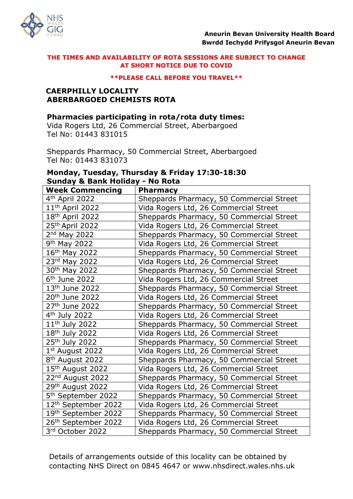

#### **\*\*PLEASE CALL BEFORE YOU TRAVEL\*\***

### **CAERPHILLY LOCALITY ABERBARGOED CHEMISTS ROTA**

### **Pharmacies participating in rota/rota duty times:**

Vida Rogers Ltd, 26 Commercial Street, Aberbargoed Tel No: 01443 831015

Sheppards Pharmacy, 50 Commercial Street, Aberbargoed Tel No: 01443 831073

# **Monday, Tuesday, Thursday & Friday 17:30-18:30 Sunday & Bank Holiday - No Rota**

| <b>Week Commencing</b>          | <b>Pharmacy</b>                          |
|---------------------------------|------------------------------------------|
| 4 <sup>th</sup> April 2022      | Sheppards Pharmacy, 50 Commercial Street |
| $11th$ April 2022               | Vida Rogers Ltd, 26 Commercial Street    |
| 18 <sup>th</sup> April 2022     | Sheppards Pharmacy, 50 Commercial Street |
| 25th April 2022                 | Vida Rogers Ltd, 26 Commercial Street    |
| 2 <sup>nd</sup> May 2022        | Sheppards Pharmacy, 50 Commercial Street |
| 9 <sup>th</sup> May 2022        | Vida Rogers Ltd, 26 Commercial Street    |
| 16th May 2022                   | Sheppards Pharmacy, 50 Commercial Street |
| 23rd May 2022                   | Vida Rogers Ltd, 26 Commercial Street    |
| 30 <sup>th</sup> May 2022       | Sheppards Pharmacy, 50 Commercial Street |
| $6th$ June 2022                 | Vida Rogers Ltd, 26 Commercial Street    |
| 13 <sup>th</sup> June 2022      | Sheppards Pharmacy, 50 Commercial Street |
| 20 <sup>th</sup> June 2022      | Vida Rogers Ltd, 26 Commercial Street    |
| 27 <sup>th</sup> June 2022      | Sheppards Pharmacy, 50 Commercial Street |
| 4 <sup>th</sup> July 2022       | Vida Rogers Ltd, 26 Commercial Street    |
| 11 <sup>th</sup> July 2022      | Sheppards Pharmacy, 50 Commercial Street |
| 18 <sup>th</sup> July 2022      | Vida Rogers Ltd, 26 Commercial Street    |
| 25 <sup>th</sup> July 2022      | Sheppards Pharmacy, 50 Commercial Street |
| 1 <sup>st</sup> August 2022     | Vida Rogers Ltd, 26 Commercial Street    |
| 8 <sup>th</sup> August 2022     | Sheppards Pharmacy, 50 Commercial Street |
| 15 <sup>th</sup> August 2022    | Vida Rogers Ltd, 26 Commercial Street    |
| 22 <sup>nd</sup> August 2022    | Sheppards Pharmacy, 50 Commercial Street |
| 29 <sup>th</sup> August 2022    | Vida Rogers Ltd, 26 Commercial Street    |
| 5 <sup>th</sup> September 2022  | Sheppards Pharmacy, 50 Commercial Street |
| 12 <sup>th</sup> September 2022 | Vida Rogers Ltd, 26 Commercial Street    |
| 19th September 2022             | Sheppards Pharmacy, 50 Commercial Street |
| 26 <sup>th</sup> September 2022 | Vida Rogers Ltd, 26 Commercial Street    |
| 3rd October 2022                | Sheppards Pharmacy, 50 Commercial Street |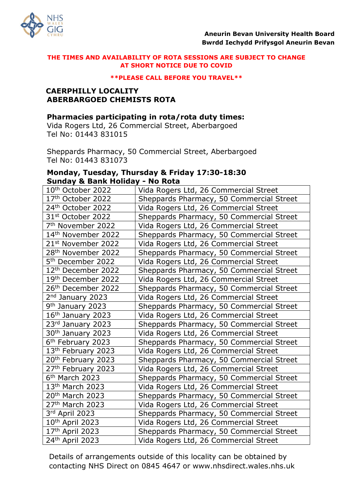

#### **\*\*PLEASE CALL BEFORE YOU TRAVEL\*\***

### **CAERPHILLY LOCALITY ABERBARGOED CHEMISTS ROTA**

### **Pharmacies participating in rota/rota duty times:**

Vida Rogers Ltd, 26 Commercial Street, Aberbargoed Tel No: 01443 831015

Sheppards Pharmacy, 50 Commercial Street, Aberbargoed Tel No: 01443 831073

## **Monday, Tuesday, Thursday & Friday 17:30-18:30 Sunday & Bank Holiday - No Rota**

| 10th October 2022              | Vida Rogers Ltd, 26 Commercial Street    |
|--------------------------------|------------------------------------------|
| 17th October 2022              | Sheppards Pharmacy, 50 Commercial Street |
| 24th October 2022              | Vida Rogers Ltd, 26 Commercial Street    |
| 31 <sup>st</sup> October 2022  | Sheppards Pharmacy, 50 Commercial Street |
| 7 <sup>th</sup> November 2022  | Vida Rogers Ltd, 26 Commercial Street    |
| 14th November 2022             | Sheppards Pharmacy, 50 Commercial Street |
| 21 <sup>st</sup> November 2022 | Vida Rogers Ltd, 26 Commercial Street    |
| 28 <sup>th</sup> November 2022 | Sheppards Pharmacy, 50 Commercial Street |
| 5 <sup>th</sup> December 2022  | Vida Rogers Ltd, 26 Commercial Street    |
| 12 <sup>th</sup> December 2022 | Sheppards Pharmacy, 50 Commercial Street |
| 19th December 2022             | Vida Rogers Ltd, 26 Commercial Street    |
| 26 <sup>th</sup> December 2022 | Sheppards Pharmacy, 50 Commercial Street |
| 2 <sup>nd</sup> January 2023   | Vida Rogers Ltd, 26 Commercial Street    |
| 9 <sup>th</sup> January 2023   | Sheppards Pharmacy, 50 Commercial Street |
| 16 <sup>th</sup> January 2023  | Vida Rogers Ltd, 26 Commercial Street    |
| 23rd January 2023              | Sheppards Pharmacy, 50 Commercial Street |
| 30 <sup>th</sup> January 2023  | Vida Rogers Ltd, 26 Commercial Street    |
| 6 <sup>th</sup> February 2023  | Sheppards Pharmacy, 50 Commercial Street |
| 13th February 2023             | Vida Rogers Ltd, 26 Commercial Street    |
| 20 <sup>th</sup> February 2023 | Sheppards Pharmacy, 50 Commercial Street |
| 27 <sup>th</sup> February 2023 | Vida Rogers Ltd, 26 Commercial Street    |
| 6 <sup>th</sup> March 2023     | Sheppards Pharmacy, 50 Commercial Street |
| 13 <sup>th</sup> March 2023    | Vida Rogers Ltd, 26 Commercial Street    |
| 20 <sup>th</sup> March 2023    | Sheppards Pharmacy, 50 Commercial Street |
| 27 <sup>th</sup> March 2023    | Vida Rogers Ltd, 26 Commercial Street    |
| 3rd April 2023                 | Sheppards Pharmacy, 50 Commercial Street |
| 10 <sup>th</sup> April 2023    | Vida Rogers Ltd, 26 Commercial Street    |
| 17th April 2023                | Sheppards Pharmacy, 50 Commercial Street |
| 24th April 2023                | Vida Rogers Ltd, 26 Commercial Street    |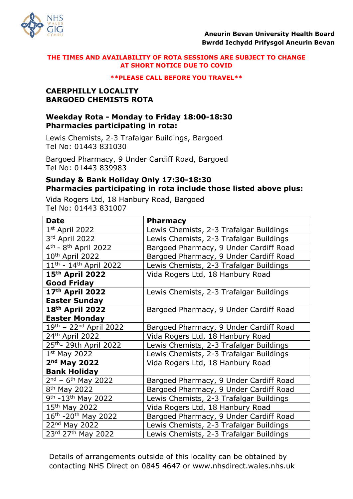

#### **\*\*PLEASE CALL BEFORE YOU TRAVEL\*\***

## **CAERPHILLY LOCALITY BARGOED CHEMISTS ROTA**

# **Weekday Rota - Monday to Friday 18:00-18:30 Pharmacies participating in rota:**

Lewis Chemists, 2-3 Trafalgar Buildings, Bargoed Tel No: 01443 831030

Bargoed Pharmacy, 9 Under Cardiff Road, Bargoed Tel No: 01443 839983

## **Sunday & Bank Holiday Only 17:30-18:30 Pharmacies participating in rota include those listed above plus:**

Vida Rogers Ltd, 18 Hanbury Road, Bargoed Tel No: 01443 831007

| <b>Date</b>                                    | <b>Pharmacy</b>                         |
|------------------------------------------------|-----------------------------------------|
| $1st$ April 2022                               | Lewis Chemists, 2-3 Trafalgar Buildings |
| 3rd April 2022                                 | Lewis Chemists, 2-3 Trafalgar Buildings |
| 4 <sup>th</sup> - 8 <sup>th</sup> April 2022   | Bargoed Pharmacy, 9 Under Cardiff Road  |
| 10 <sup>th</sup> April 2022                    | Bargoed Pharmacy, 9 Under Cardiff Road  |
| 11 <sup>th</sup> - 14 <sup>th</sup> April 2022 | Lewis Chemists, 2-3 Trafalgar Buildings |
| 15 <sup>th</sup> April 2022                    | Vida Rogers Ltd, 18 Hanbury Road        |
| <b>Good Friday</b>                             |                                         |
| 17 <sup>th</sup> April 2022                    | Lewis Chemists, 2-3 Trafalgar Buildings |
| <b>Easter Sunday</b>                           |                                         |
| 18 <sup>th</sup> April 2022                    | Bargoed Pharmacy, 9 Under Cardiff Road  |
| <b>Easter Monday</b>                           |                                         |
| 19 <sup>th</sup> - 22 <sup>nd</sup> April 2022 | Bargoed Pharmacy, 9 Under Cardiff Road  |
| 24 <sup>th</sup> April 2022                    | Vida Rogers Ltd, 18 Hanbury Road        |
| 25 <sup>th</sup> - 29th April 2022             | Lewis Chemists, 2-3 Trafalgar Buildings |
| $1st$ May 2022                                 | Lewis Chemists, 2-3 Trafalgar Buildings |
| 2 <sup>nd</sup> May 2022                       | Vida Rogers Ltd, 18 Hanbury Road        |
| <b>Bank Holiday</b>                            |                                         |
| $2nd - 6th$ May 2022                           | Bargoed Pharmacy, 9 Under Cardiff Road  |
| 8 <sup>th</sup> May 2022                       | Bargoed Pharmacy, 9 Under Cardiff Road  |
| 9 <sup>th</sup> -13 <sup>th</sup> May 2022     | Lewis Chemists, 2-3 Trafalgar Buildings |
| 15th May 2022                                  | Vida Rogers Ltd, 18 Hanbury Road        |
| 16th - 20th May 2022                           | Bargoed Pharmacy, 9 Under Cardiff Road  |
| 22nd May 2022                                  | Lewis Chemists, 2-3 Trafalgar Buildings |
| 23rd 27th May 2022                             | Lewis Chemists, 2-3 Trafalgar Buildings |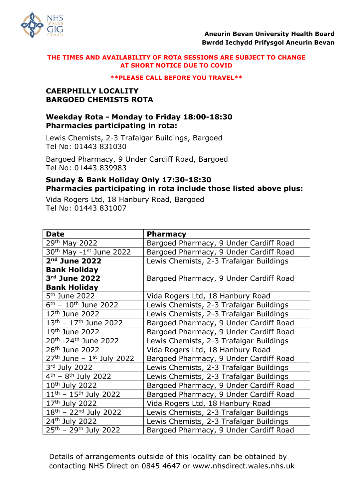

#### **\*\*PLEASE CALL BEFORE YOU TRAVEL\*\***

## **CAERPHILLY LOCALITY BARGOED CHEMISTS ROTA**

# **Weekday Rota - Monday to Friday 18:00-18:30 Pharmacies participating in rota:**

Lewis Chemists, 2-3 Trafalgar Buildings, Bargoed Tel No: 01443 831030

Bargoed Pharmacy, 9 Under Cardiff Road, Bargoed Tel No: 01443 839983

# **Sunday & Bank Holiday Only 17:30-18:30 Pharmacies participating in rota include those listed above plus:**

Vida Rogers Ltd, 18 Hanbury Road, Bargoed Tel No: 01443 831007

| <b>Date</b>                                  | <b>Pharmacy</b>                         |
|----------------------------------------------|-----------------------------------------|
| 29th May 2022                                | Bargoed Pharmacy, 9 Under Cardiff Road  |
| $30th$ May -1st June 2022                    | Bargoed Pharmacy, 9 Under Cardiff Road  |
| 2 <sup>nd</sup> June 2022                    | Lewis Chemists, 2-3 Trafalgar Buildings |
| <b>Bank Holiday</b>                          |                                         |
| 3rd June 2022                                | Bargoed Pharmacy, 9 Under Cardiff Road  |
| <b>Bank Holiday</b>                          |                                         |
| 5 <sup>th</sup> June 2022                    | Vida Rogers Ltd, 18 Hanbury Road        |
| $6^{\text{th}} - 10^{\text{th}}$ June 2022   | Lewis Chemists, 2-3 Trafalgar Buildings |
| 12 <sup>th</sup> June 2022                   | Lewis Chemists, 2-3 Trafalgar Buildings |
| $13th - 17th$ June 2022                      | Bargoed Pharmacy, 9 Under Cardiff Road  |
| 19 <sup>th</sup> June 2022                   | Bargoed Pharmacy, 9 Under Cardiff Road  |
| 20 <sup>th</sup> -24 <sup>th</sup> June 2022 | Lewis Chemists, 2-3 Trafalgar Buildings |
| 26 <sup>th</sup> June 2022                   | Vida Rogers Ltd, 18 Hanbury Road        |
| $27th$ June - $1st$ July 2022                | Bargoed Pharmacy, 9 Under Cardiff Road  |
| 3rd July 2022                                | Lewis Chemists, 2-3 Trafalgar Buildings |
| $4^{th}$ – $8^{th}$ July 2022                | Lewis Chemists, 2-3 Trafalgar Buildings |
| 10 <sup>th</sup> July 2022                   | Bargoed Pharmacy, 9 Under Cardiff Road  |
| $11^{th}$ – $15^{th}$ July 2022              | Bargoed Pharmacy, 9 Under Cardiff Road  |
| 17th July 2022                               | Vida Rogers Ltd, 18 Hanbury Road        |
| $18^{th}$ – 22 <sup>nd</sup> July 2022       | Lewis Chemists, 2-3 Trafalgar Buildings |
| 24th July 2022                               | Lewis Chemists, 2-3 Trafalgar Buildings |
| $25^{th}$ – 29 <sup>th</sup> July 2022       | Bargoed Pharmacy, 9 Under Cardiff Road  |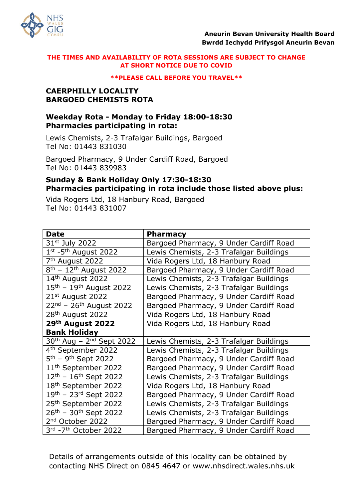

#### **\*\*PLEASE CALL BEFORE YOU TRAVEL\*\***

## **CAERPHILLY LOCALITY BARGOED CHEMISTS ROTA**

# **Weekday Rota - Monday to Friday 18:00-18:30 Pharmacies participating in rota:**

Lewis Chemists, 2-3 Trafalgar Buildings, Bargoed Tel No: 01443 831030

Bargoed Pharmacy, 9 Under Cardiff Road, Bargoed Tel No: 01443 839983

# **Sunday & Bank Holiday Only 17:30-18:30 Pharmacies participating in rota include those listed above plus:**

Vida Rogers Ltd, 18 Hanbury Road, Bargoed Tel No: 01443 831007

| <b>Date</b>                                      | <b>Pharmacy</b>                         |
|--------------------------------------------------|-----------------------------------------|
| 31 <sup>st</sup> July 2022                       | Bargoed Pharmacy, 9 Under Cardiff Road  |
| $1st$ -5 <sup>th</sup> August 2022               | Lewis Chemists, 2-3 Trafalgar Buildings |
| 7 <sup>th</sup> August 2022                      | Vida Rogers Ltd, 18 Hanbury Road        |
| $8th - 12th$ August 2022                         | Bargoed Pharmacy, 9 Under Cardiff Road  |
| 14th August 2022                                 | Lewis Chemists, 2-3 Trafalgar Buildings |
| $15^{\text{th}} - 19^{\text{th}}$ August 2022    | Lewis Chemists, 2-3 Trafalgar Buildings |
| 21st August 2022                                 | Bargoed Pharmacy, 9 Under Cardiff Road  |
| $22^{nd}$ – 26 <sup>th</sup> August 2022         | Bargoed Pharmacy, 9 Under Cardiff Road  |
| 28 <sup>th</sup> August 2022                     | Vida Rogers Ltd, 18 Hanbury Road        |
| 29th August 2022                                 | Vida Rogers Ltd, 18 Hanbury Road        |
| <b>Bank Holiday</b>                              |                                         |
| 30 <sup>th</sup> Aug - 2 <sup>nd</sup> Sept 2022 | Lewis Chemists, 2-3 Trafalgar Buildings |
| 4 <sup>th</sup> September 2022                   | Lewis Chemists, 2-3 Trafalgar Buildings |
| 5 <sup>th</sup> - 9 <sup>th</sup> Sept 2022      | Bargoed Pharmacy, 9 Under Cardiff Road  |
| 11 <sup>th</sup> September 2022                  | Bargoed Pharmacy, 9 Under Cardiff Road  |
| $12^{th}$ - $16^{th}$ Sept 2022                  | Lewis Chemists, 2-3 Trafalgar Buildings |
| 18 <sup>th</sup> September 2022                  | Vida Rogers Ltd, 18 Hanbury Road        |
| $19^{th}$ – 23 <sup>rd</sup> Sept 2022           | Bargoed Pharmacy, 9 Under Cardiff Road  |
| 25 <sup>th</sup> September 2022                  | Lewis Chemists, 2-3 Trafalgar Buildings |
| 26 <sup>th</sup> - 30 <sup>th</sup> Sept 2022    | Lewis Chemists, 2-3 Trafalgar Buildings |
| 2 <sup>nd</sup> October 2022                     | Bargoed Pharmacy, 9 Under Cardiff Road  |
| 3rd - 7th October 2022                           | Bargoed Pharmacy, 9 Under Cardiff Road  |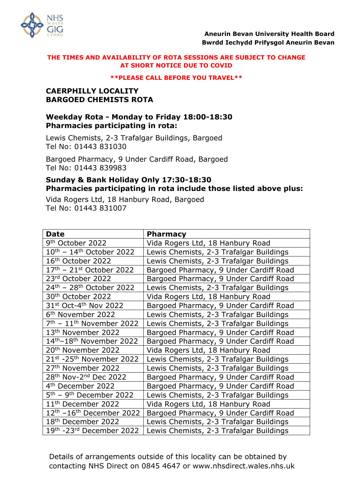

#### **\*\*PLEASE CALL BEFORE YOU TRAVEL\*\***

## **CAERPHILLY LOCALITY BARGOED CHEMISTS ROTA**

# **Weekday Rota - Monday to Friday 18:00-18:30 Pharmacies participating in rota:**

Lewis Chemists, 2-3 Trafalgar Buildings, Bargoed Tel No: 01443 831030

Bargoed Pharmacy, 9 Under Cardiff Road, Bargoed Tel No: 01443 839983

# **Sunday & Bank Holiday Only 17:30-18:30 Pharmacies participating in rota include those listed above plus:**

Vida Rogers Ltd, 18 Hanbury Road, Bargoed Tel No: 01443 831007

| <b>Date</b>                                      | <b>Pharmacy</b>                         |
|--------------------------------------------------|-----------------------------------------|
| 9 <sup>th</sup> October 2022                     | Vida Rogers Ltd, 18 Hanbury Road        |
| $10^{\text{th}}$ - $14^{\text{th}}$ October 2022 | Lewis Chemists, 2-3 Trafalgar Buildings |
| 16th October 2022                                | Lewis Chemists, 2-3 Trafalgar Buildings |
| $17th$ – 21st October 2022                       | Bargoed Pharmacy, 9 Under Cardiff Road  |
| 23rd October 2022                                | Bargoed Pharmacy, 9 Under Cardiff Road  |
| 24 <sup>th</sup> - 28 <sup>th</sup> October 2022 | Lewis Chemists, 2-3 Trafalgar Buildings |
| 30 <sup>th</sup> October 2022                    | Vida Rogers Ltd, 18 Hanbury Road        |
| 31st Oct-4th Nov 2022                            | Bargoed Pharmacy, 9 Under Cardiff Road  |
| 6 <sup>th</sup> November 2022                    | Lewis Chemists, 2-3 Trafalgar Buildings |
| 7 <sup>th</sup> - 11 <sup>th</sup> November 2022 | Lewis Chemists, 2-3 Trafalgar Buildings |
| 13 <sup>th</sup> November 2022                   | Bargoed Pharmacy, 9 Under Cardiff Road  |
| 14th-18th November 2022                          | Bargoed Pharmacy, 9 Under Cardiff Road  |
| 20 <sup>th</sup> November 2022                   | Vida Rogers Ltd, 18 Hanbury Road        |
| 21st -25th November 2022                         | Lewis Chemists, 2-3 Trafalgar Buildings |
| 27 <sup>th</sup> November 2022                   | Lewis Chemists, 2-3 Trafalgar Buildings |
| 28th Nov-2nd Dec 2022                            | Bargoed Pharmacy, 9 Under Cardiff Road  |
| 4 <sup>th</sup> December 2022                    | Bargoed Pharmacy, 9 Under Cardiff Road  |
| 5 <sup>th</sup> - 9 <sup>th</sup> December 2022  | Lewis Chemists, 2-3 Trafalgar Buildings |
| 11 <sup>th</sup> December 2022                   | Vida Rogers Ltd, 18 Hanbury Road        |
| $12th - 16th$ December 2022                      | Bargoed Pharmacy, 9 Under Cardiff Road  |
| 18 <sup>th</sup> December 2022                   | Lewis Chemists, 2-3 Trafalgar Buildings |
| 19th -23rd December 2022                         | Lewis Chemists, 2-3 Trafalgar Buildings |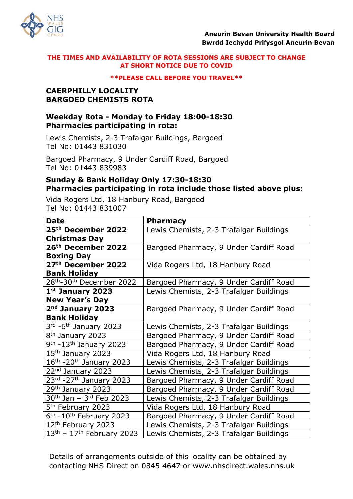

#### **\*\*PLEASE CALL BEFORE YOU TRAVEL\*\***

## **CAERPHILLY LOCALITY BARGOED CHEMISTS ROTA**

# **Weekday Rota - Monday to Friday 18:00-18:30 Pharmacies participating in rota:**

Lewis Chemists, 2-3 Trafalgar Buildings, Bargoed Tel No: 01443 831030

Bargoed Pharmacy, 9 Under Cardiff Road, Bargoed Tel No: 01443 839983

# **Sunday & Bank Holiday Only 17:30-18:30 Pharmacies participating in rota include those listed above plus:**

Vida Rogers Ltd, 18 Hanbury Road, Bargoed Tel No: 01443 831007

| <b>Date</b>                                      | <b>Pharmacy</b>                         |
|--------------------------------------------------|-----------------------------------------|
| 25 <sup>th</sup> December 2022                   | Lewis Chemists, 2-3 Trafalgar Buildings |
| <b>Christmas Day</b>                             |                                         |
| 26 <sup>th</sup> December 2022                   | Bargoed Pharmacy, 9 Under Cardiff Road  |
|                                                  |                                         |
| <b>Boxing Day</b>                                |                                         |
| 27 <sup>th</sup> December 2022                   | Vida Rogers Ltd, 18 Hanbury Road        |
| <b>Bank Holiday</b>                              |                                         |
| 28 <sup>th</sup> -30 <sup>th</sup> December 2022 | Bargoed Pharmacy, 9 Under Cardiff Road  |
| 1st January 2023                                 | Lewis Chemists, 2-3 Trafalgar Buildings |
| <b>New Year's Day</b>                            |                                         |
| 2 <sup>nd</sup> January 2023                     | Bargoed Pharmacy, 9 Under Cardiff Road  |
| <b>Bank Holiday</b>                              |                                         |
| 3rd -6 <sup>th</sup> January 2023                | Lewis Chemists, 2-3 Trafalgar Buildings |
| 8 <sup>th</sup> January 2023                     | Bargoed Pharmacy, 9 Under Cardiff Road  |
| $9th$ -13 <sup>th</sup> January 2023             | Bargoed Pharmacy, 9 Under Cardiff Road  |
| 15th January 2023                                | Vida Rogers Ltd, 18 Hanbury Road        |
| 16 <sup>th</sup> -20 <sup>th</sup> January 2023  | Lewis Chemists, 2-3 Trafalgar Buildings |
| 22 <sup>nd</sup> January 2023                    | Lewis Chemists, 2-3 Trafalgar Buildings |
| 23rd -27th January 2023                          | Bargoed Pharmacy, 9 Under Cardiff Road  |
| 29th January 2023                                | Bargoed Pharmacy, 9 Under Cardiff Road  |
| $30^{th}$ Jan - $3^{rd}$ Feb 2023                | Lewis Chemists, 2-3 Trafalgar Buildings |
| 5 <sup>th</sup> February 2023                    | Vida Rogers Ltd, 18 Hanbury Road        |
| $6th$ -10 <sup>th</sup> February 2023            | Bargoed Pharmacy, 9 Under Cardiff Road  |
| 12 <sup>th</sup> February 2023                   | Lewis Chemists, 2-3 Trafalgar Buildings |
| $13th$ - $17th$ February 2023                    | Lewis Chemists, 2-3 Trafalgar Buildings |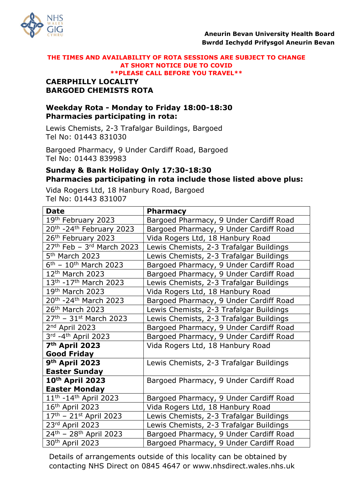

#### **THE TIMES AND AVAILABILITY OF ROTA SESSIONS ARE SUBJECT TO CHANGE AT SHORT NOTICE DUE TO COVID \*\*PLEASE CALL BEFORE YOU TRAVEL\*\***

# **CAERPHILLY LOCALITY BARGOED CHEMISTS ROTA**

# **Weekday Rota - Monday to Friday 18:00-18:30 Pharmacies participating in rota:**

Lewis Chemists, 2-3 Trafalgar Buildings, Bargoed Tel No: 01443 831030

Bargoed Pharmacy, 9 Under Cardiff Road, Bargoed Tel No: 01443 839983

# **Sunday & Bank Holiday Only 17:30-18:30 Pharmacies participating in rota include those listed above plus:**

Vida Rogers Ltd, 18 Hanbury Road, Bargoed Tel No: 01443 831007

| <b>Date</b>                                 | <b>Pharmacy</b>                         |  |
|---------------------------------------------|-----------------------------------------|--|
| 19th February 2023                          | Bargoed Pharmacy, 9 Under Cardiff Road  |  |
| 20th - 24th February 2023                   | Bargoed Pharmacy, 9 Under Cardiff Road  |  |
| 26th February 2023                          | Vida Rogers Ltd, 18 Hanbury Road        |  |
| $27th$ Feb - 3 <sup>rd</sup> March 2023     | Lewis Chemists, 2-3 Trafalgar Buildings |  |
| 5 <sup>th</sup> March 2023                  | Lewis Chemists, 2-3 Trafalgar Buildings |  |
| $6^{\text{th}} - 10^{\text{th}}$ March 2023 | Bargoed Pharmacy, 9 Under Cardiff Road  |  |
| 12 <sup>th</sup> March 2023                 | Bargoed Pharmacy, 9 Under Cardiff Road  |  |
| 13th - 17th March 2023                      | Lewis Chemists, 2-3 Trafalgar Buildings |  |
| 19th March 2023                             | Vida Rogers Ltd, 18 Hanbury Road        |  |
| 20th - 24th March 2023                      | Bargoed Pharmacy, 9 Under Cardiff Road  |  |
| 26 <sup>th</sup> March 2023                 | Lewis Chemists, 2-3 Trafalgar Buildings |  |
| 27th - 31st March 2023                      | Lewis Chemists, 2-3 Trafalgar Buildings |  |
| 2 <sup>nd</sup> April 2023                  | Bargoed Pharmacy, 9 Under Cardiff Road  |  |
| $3rd$ -4 <sup>th</sup> April 2023           | Bargoed Pharmacy, 9 Under Cardiff Road  |  |
| 7 <sup>th</sup> April 2023                  | Vida Rogers Ltd, 18 Hanbury Road        |  |
| <b>Good Friday</b>                          |                                         |  |
| 9th April 2023                              | Lewis Chemists, 2-3 Trafalgar Buildings |  |
| <b>Easter Sunday</b>                        |                                         |  |
| 10th April 2023                             | Bargoed Pharmacy, 9 Under Cardiff Road  |  |
| <b>Easter Monday</b>                        |                                         |  |
| $11th - 14th$ April 2023                    | Bargoed Pharmacy, 9 Under Cardiff Road  |  |
| 16 <sup>th</sup> April 2023                 | Vida Rogers Ltd, 18 Hanbury Road        |  |
| $17th$ – 21st April 2023                    | Lewis Chemists, 2-3 Trafalgar Buildings |  |
| 23rd April 2023                             | Lewis Chemists, 2-3 Trafalgar Buildings |  |
| 24th - 28th April 2023                      | Bargoed Pharmacy, 9 Under Cardiff Road  |  |
| 30 <sup>th</sup> April 2023                 | Bargoed Pharmacy, 9 Under Cardiff Road  |  |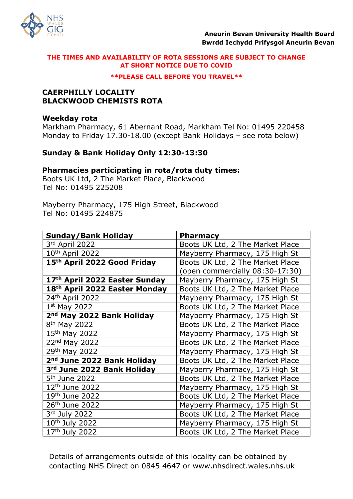

#### **\*\*PLEASE CALL BEFORE YOU TRAVEL\*\***

## **CAERPHILLY LOCALITY BLACKWOOD CHEMISTS ROTA**

### **Weekday rota**

Markham Pharmacy, 61 Abernant Road, Markham Tel No: 01495 220458 Monday to Friday 17.30-18.00 (except Bank Holidays – see rota below)

# **Sunday & Bank Holiday Only 12:30-13:30**

### **Pharmacies participating in rota/rota duty times:**

Boots UK Ltd, 2 The Market Place, Blackwood Tel No: 01495 225208

Mayberry Pharmacy, 175 High Street, Blackwood Tel No: 01495 224875

| <b>Sunday/Bank Holiday</b>                | <b>Pharmacy</b>                  |
|-------------------------------------------|----------------------------------|
| 3rd April 2022                            | Boots UK Ltd, 2 The Market Place |
| 10 <sup>th</sup> April 2022               | Mayberry Pharmacy, 175 High St   |
| 15 <sup>th</sup> April 2022 Good Friday   | Boots UK Ltd, 2 The Market Place |
|                                           | (open commercially 08:30-17:30)  |
| 17 <sup>th</sup> April 2022 Easter Sunday | Mayberry Pharmacy, 175 High St   |
| 18th April 2022 Easter Monday             | Boots UK Ltd, 2 The Market Place |
| 24 <sup>th</sup> April 2022               | Mayberry Pharmacy, 175 High St   |
| $1st$ May 2022                            | Boots UK Ltd, 2 The Market Place |
| 2 <sup>nd</sup> May 2022 Bank Holiday     | Mayberry Pharmacy, 175 High St   |
| 8 <sup>th</sup> May 2022                  | Boots UK Ltd, 2 The Market Place |
| 15 <sup>th</sup> May 2022                 | Mayberry Pharmacy, 175 High St   |
| 22nd May 2022                             | Boots UK Ltd, 2 The Market Place |
| 29th May 2022                             | Mayberry Pharmacy, 175 High St   |
| 2 <sup>nd</sup> June 2022 Bank Holiday    | Boots UK Ltd, 2 The Market Place |
| 3rd June 2022 Bank Holiday                | Mayberry Pharmacy, 175 High St   |
| 5 <sup>th</sup> June 2022                 | Boots UK Ltd, 2 The Market Place |
| 12 <sup>th</sup> June 2022                | Mayberry Pharmacy, 175 High St   |
| 19th June 2022                            | Boots UK Ltd, 2 The Market Place |
| 26 <sup>th</sup> June 2022                | Mayberry Pharmacy, 175 High St   |
| 3rd July 2022                             | Boots UK Ltd, 2 The Market Place |
| 10 <sup>th</sup> July 2022                | Mayberry Pharmacy, 175 High St   |
| 17th July 2022                            | Boots UK Ltd, 2 The Market Place |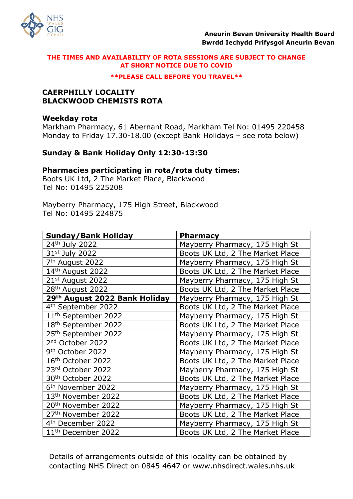

#### **\*\*PLEASE CALL BEFORE YOU TRAVEL\*\***

### **CAERPHILLY LOCALITY BLACKWOOD CHEMISTS ROTA**

### **Weekday rota**

Markham Pharmacy, 61 Abernant Road, Markham Tel No: 01495 220458 Monday to Friday 17.30-18.00 (except Bank Holidays – see rota below)

# **Sunday & Bank Holiday Only 12:30-13:30**

### **Pharmacies participating in rota/rota duty times:**

Boots UK Ltd, 2 The Market Place, Blackwood Tel No: 01495 225208

Mayberry Pharmacy, 175 High Street, Blackwood Tel No: 01495 224875

| <b>Sunday/Bank Holiday</b>                | <b>Pharmacy</b>                  |
|-------------------------------------------|----------------------------------|
| 24 <sup>th</sup> July 2022                | Mayberry Pharmacy, 175 High St   |
| 31st July 2022                            | Boots UK Ltd, 2 The Market Place |
| 7 <sup>th</sup> August 2022               | Mayberry Pharmacy, 175 High St   |
| 14th August 2022                          | Boots UK Ltd, 2 The Market Place |
| 21st August 2022                          | Mayberry Pharmacy, 175 High St   |
| 28 <sup>th</sup> August 2022              | Boots UK Ltd, 2 The Market Place |
| 29 <sup>th</sup> August 2022 Bank Holiday | Mayberry Pharmacy, 175 High St   |
| 4 <sup>th</sup> September 2022            | Boots UK Ltd, 2 The Market Place |
| 11 <sup>th</sup> September 2022           | Mayberry Pharmacy, 175 High St   |
| 18 <sup>th</sup> September 2022           | Boots UK Ltd, 2 The Market Place |
| 25 <sup>th</sup> September 2022           | Mayberry Pharmacy, 175 High St   |
| 2 <sup>nd</sup> October 2022              | Boots UK Ltd, 2 The Market Place |
| 9 <sup>th</sup> October 2022              | Mayberry Pharmacy, 175 High St   |
| 16th October 2022                         | Boots UK Ltd, 2 The Market Place |
| 23rd October 2022                         | Mayberry Pharmacy, 175 High St   |
| 30 <sup>th</sup> October 2022             | Boots UK Ltd, 2 The Market Place |
| 6 <sup>th</sup> November 2022             | Mayberry Pharmacy, 175 High St   |
| 13 <sup>th</sup> November 2022            | Boots UK Ltd, 2 The Market Place |
| 20 <sup>th</sup> November 2022            | Mayberry Pharmacy, 175 High St   |
| 27 <sup>th</sup> November 2022            | Boots UK Ltd, 2 The Market Place |
| 4 <sup>th</sup> December 2022             | Mayberry Pharmacy, 175 High St   |
| 11 <sup>th</sup> December 2022            | Boots UK Ltd, 2 The Market Place |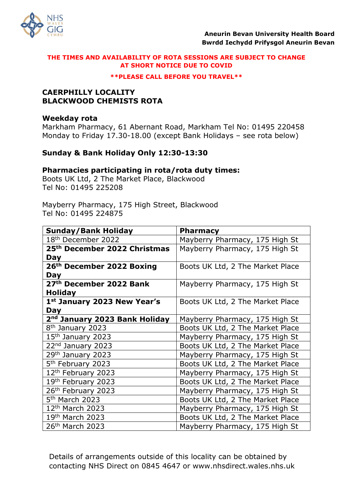

#### **\*\*PLEASE CALL BEFORE YOU TRAVEL\*\***

## **CAERPHILLY LOCALITY BLACKWOOD CHEMISTS ROTA**

### **Weekday rota**

Markham Pharmacy, 61 Abernant Road, Markham Tel No: 01495 220458 Monday to Friday 17.30-18.00 (except Bank Holidays – see rota below)

# **Sunday & Bank Holiday Only 12:30-13:30**

### **Pharmacies participating in rota/rota duty times:**

Boots UK Ltd, 2 The Market Place, Blackwood Tel No: 01495 225208

Mayberry Pharmacy, 175 High Street, Blackwood Tel No: 01495 224875

| <b>Sunday/Bank Holiday</b>                | <b>Pharmacy</b>                  |
|-------------------------------------------|----------------------------------|
| 18 <sup>th</sup> December 2022            | Mayberry Pharmacy, 175 High St   |
| 25 <sup>th</sup> December 2022 Christmas  | Mayberry Pharmacy, 175 High St   |
| <b>Day</b>                                |                                  |
| 26 <sup>th</sup> December 2022 Boxing     | Boots UK Ltd, 2 The Market Place |
| Day                                       |                                  |
| 27th December 2022 Bank                   | Mayberry Pharmacy, 175 High St   |
| <b>Holiday</b>                            |                                  |
| 1st January 2023 New Year's               | Boots UK Ltd, 2 The Market Place |
| Day                                       |                                  |
| 2 <sup>nd</sup> January 2023 Bank Holiday | Mayberry Pharmacy, 175 High St   |
| 8 <sup>th</sup> January 2023              | Boots UK Ltd, 2 The Market Place |
| 15 <sup>th</sup> January 2023             | Mayberry Pharmacy, 175 High St   |
| 22nd January 2023                         | Boots UK Ltd, 2 The Market Place |
| 29th January 2023                         | Mayberry Pharmacy, 175 High St   |
| 5 <sup>th</sup> February 2023             | Boots UK Ltd, 2 The Market Place |
| 12 <sup>th</sup> February 2023            | Mayberry Pharmacy, 175 High St   |
| 19th February 2023                        | Boots UK Ltd, 2 The Market Place |
| 26th February 2023                        | Mayberry Pharmacy, 175 High St   |
| 5 <sup>th</sup> March 2023                | Boots UK Ltd, 2 The Market Place |
| 12 <sup>th</sup> March 2023               | Mayberry Pharmacy, 175 High St   |
| 19th March 2023                           | Boots UK Ltd, 2 The Market Place |
| 26th March 2023                           | Mayberry Pharmacy, 175 High St   |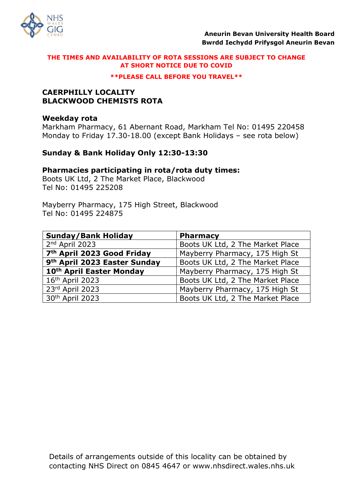

#### **\*\*PLEASE CALL BEFORE YOU TRAVEL\*\***

## **CAERPHILLY LOCALITY BLACKWOOD CHEMISTS ROTA**

### **Weekday rota**

Markham Pharmacy, 61 Abernant Road, Markham Tel No: 01495 220458 Monday to Friday 17.30-18.00 (except Bank Holidays – see rota below)

# **Sunday & Bank Holiday Only 12:30-13:30**

### **Pharmacies participating in rota/rota duty times:**

Boots UK Ltd, 2 The Market Place, Blackwood Tel No: 01495 225208

Mayberry Pharmacy, 175 High Street, Blackwood Tel No: 01495 224875

| <b>Sunday/Bank Holiday</b>               | <b>Pharmacy</b>                  |
|------------------------------------------|----------------------------------|
| 2nd April 2023                           | Boots UK Ltd, 2 The Market Place |
| 7 <sup>th</sup> April 2023 Good Friday   | Mayberry Pharmacy, 175 High St   |
| 9 <sup>th</sup> April 2023 Easter Sunday | Boots UK Ltd, 2 The Market Place |
| 10th April Easter Monday                 | Mayberry Pharmacy, 175 High St   |
| 16th April 2023                          | Boots UK Ltd, 2 The Market Place |
| 23rd April 2023                          | Mayberry Pharmacy, 175 High St   |
| 30th April 2023                          | Boots UK Ltd, 2 The Market Place |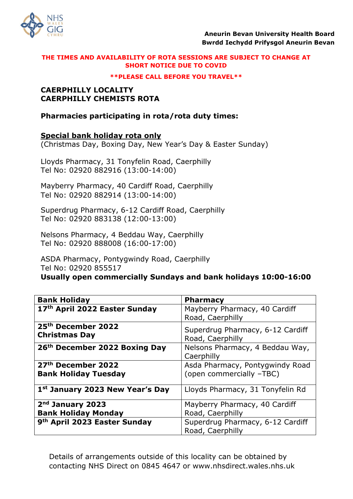

**\*\*PLEASE CALL BEFORE YOU TRAVEL\*\***

# **CAERPHILLY LOCALITY CAERPHILLY CHEMISTS ROTA**

# **Pharmacies participating in rota/rota duty times:**

# **Special bank holiday rota only**

(Christmas Day, Boxing Day, New Year's Day & Easter Sunday)

Lloyds Pharmacy, 31 Tonyfelin Road, Caerphilly Tel No: 02920 882916 (13:00-14:00)

Mayberry Pharmacy, 40 Cardiff Road, Caerphilly Tel No: 02920 882914 (13:00-14:00)

Superdrug Pharmacy, 6-12 Cardiff Road, Caerphilly Tel No: 02920 883138 (12:00-13:00)

Nelsons Pharmacy, 4 Beddau Way, Caerphilly Tel No: 02920 888008 (16:00-17:00)

ASDA Pharmacy, Pontygwindy Road, Caerphilly Tel No: 02920 855517

**Usually open commercially Sundays and bank holidays 10:00-16:00**

| <b>Bank Holiday</b>                                    | <b>Pharmacy</b>                                      |
|--------------------------------------------------------|------------------------------------------------------|
| 17th April 2022 Easter Sunday                          | Mayberry Pharmacy, 40 Cardiff                        |
|                                                        | Road, Caerphilly                                     |
| 25 <sup>th</sup> December 2022<br><b>Christmas Day</b> | Superdrug Pharmacy, 6-12 Cardiff<br>Road, Caerphilly |
| 26th December 2022 Boxing Day                          | Nelsons Pharmacy, 4 Beddau Way,<br>Caerphilly        |
| 27 <sup>th</sup> December 2022                         | Asda Pharmacy, Pontygwindy Road                      |
| <b>Bank Holiday Tuesday</b>                            | (open commercially -TBC)                             |
| 1st January 2023 New Year's Day                        | Lloyds Pharmacy, 31 Tonyfelin Rd                     |
| 2 <sup>nd</sup> January 2023                           | Mayberry Pharmacy, 40 Cardiff                        |
| <b>Bank Holiday Monday</b>                             | Road, Caerphilly                                     |
| 9 <sup>th</sup> April 2023 Easter Sunday               | Superdrug Pharmacy, 6-12 Cardiff                     |
|                                                        | Road, Caerphilly                                     |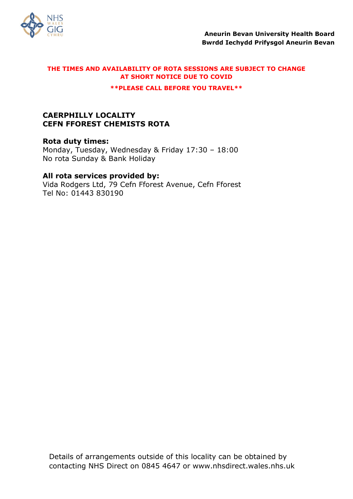

**\*\*PLEASE CALL BEFORE YOU TRAVEL\*\***

# **CAERPHILLY LOCALITY CEFN FFOREST CHEMISTS ROTA**

**Rota duty times:** Monday, Tuesday, Wednesday & Friday 17:30 – 18:00 No rota Sunday & Bank Holiday

# **All rota services provided by:**

Vida Rodgers Ltd, 79 Cefn Fforest Avenue, Cefn Fforest Tel No: 01443 830190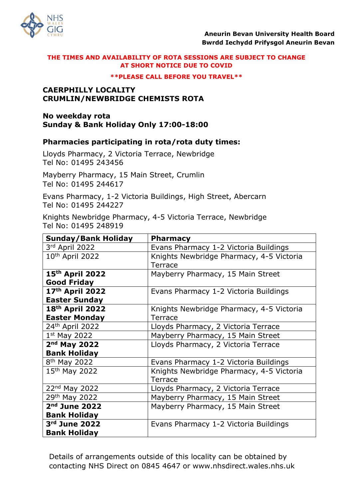

#### **\*\*PLEASE CALL BEFORE YOU TRAVEL\*\***

## **CAERPHILLY LOCALITY CRUMLIN/NEWBRIDGE CHEMISTS ROTA**

### **No weekday rota Sunday & Bank Holiday Only 17:00-18:00**

# **Pharmacies participating in rota/rota duty times:**

Lloyds Pharmacy, 2 Victoria Terrace, Newbridge Tel No: 01495 243456

Mayberry Pharmacy, 15 Main Street, Crumlin Tel No: 01495 244617

Evans Pharmacy, 1-2 Victoria Buildings, High Street, Abercarn Tel No: 01495 244227

Knights Newbridge Pharmacy, 4-5 Victoria Terrace, Newbridge Tel No: 01495 248919

| <b>Sunday/Bank Holiday</b>  | <b>Pharmacy</b>                          |
|-----------------------------|------------------------------------------|
| 3rd April 2022              | Evans Pharmacy 1-2 Victoria Buildings    |
| 10 <sup>th</sup> April 2022 | Knights Newbridge Pharmacy, 4-5 Victoria |
|                             | <b>Terrace</b>                           |
| 15 <sup>th</sup> April 2022 | Mayberry Pharmacy, 15 Main Street        |
| <b>Good Friday</b>          |                                          |
| 17th April 2022             | Evans Pharmacy 1-2 Victoria Buildings    |
| <b>Easter Sunday</b>        |                                          |
| 18 <sup>th</sup> April 2022 | Knights Newbridge Pharmacy, 4-5 Victoria |
| <b>Easter Monday</b>        | Terrace                                  |
| 24 <sup>th</sup> April 2022 | Lloyds Pharmacy, 2 Victoria Terrace      |
| $1st$ May 2022              | Mayberry Pharmacy, 15 Main Street        |
| 2 <sup>nd</sup> May 2022    | Lloyds Pharmacy, 2 Victoria Terrace      |
| <b>Bank Holiday</b>         |                                          |
| 8 <sup>th</sup> May 2022    | Evans Pharmacy 1-2 Victoria Buildings    |
| 15th May 2022               | Knights Newbridge Pharmacy, 4-5 Victoria |
|                             | Terrace                                  |
| 22nd May 2022               | Lloyds Pharmacy, 2 Victoria Terrace      |
| 29th May 2022               | Mayberry Pharmacy, 15 Main Street        |
| $2nd$ June 2022             | Mayberry Pharmacy, 15 Main Street        |
| <b>Bank Holiday</b>         |                                          |
| 3rd June 2022               | Evans Pharmacy 1-2 Victoria Buildings    |
| <b>Bank Holiday</b>         |                                          |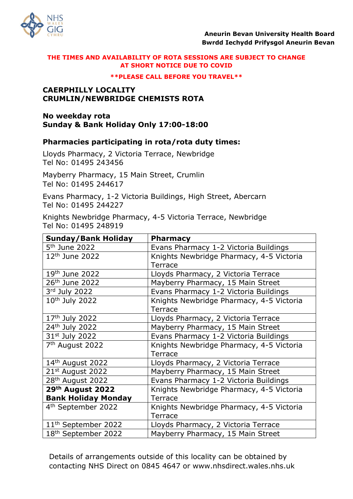

#### **\*\*PLEASE CALL BEFORE YOU TRAVEL\*\***

## **CAERPHILLY LOCALITY CRUMLIN/NEWBRIDGE CHEMISTS ROTA**

### **No weekday rota Sunday & Bank Holiday Only 17:00-18:00**

# **Pharmacies participating in rota/rota duty times:**

Lloyds Pharmacy, 2 Victoria Terrace, Newbridge Tel No: 01495 243456

Mayberry Pharmacy, 15 Main Street, Crumlin Tel No: 01495 244617

Evans Pharmacy, 1-2 Victoria Buildings, High Street, Abercarn Tel No: 01495 244227

Knights Newbridge Pharmacy, 4-5 Victoria Terrace, Newbridge Tel No: 01495 248919

| <b>Sunday/Bank Holiday</b>      | <b>Pharmacy</b>                          |
|---------------------------------|------------------------------------------|
| 5 <sup>th</sup> June 2022       | Evans Pharmacy 1-2 Victoria Buildings    |
| 12 <sup>th</sup> June 2022      | Knights Newbridge Pharmacy, 4-5 Victoria |
|                                 | Terrace                                  |
| 19 <sup>th</sup> June 2022      | Lloyds Pharmacy, 2 Victoria Terrace      |
| 26 <sup>th</sup> June 2022      | Mayberry Pharmacy, 15 Main Street        |
| 3rd July 2022                   | Evans Pharmacy 1-2 Victoria Buildings    |
| 10 <sup>th</sup> July 2022      | Knights Newbridge Pharmacy, 4-5 Victoria |
|                                 | <b>Terrace</b>                           |
| 17 <sup>th</sup> July 2022      | Lloyds Pharmacy, 2 Victoria Terrace      |
| 24th July 2022                  | Mayberry Pharmacy, 15 Main Street        |
| 31st July 2022                  | Evans Pharmacy 1-2 Victoria Buildings    |
| 7 <sup>th</sup> August 2022     | Knights Newbridge Pharmacy, 4-5 Victoria |
|                                 | Terrace                                  |
| 14 <sup>th</sup> August 2022    | Lloyds Pharmacy, 2 Victoria Terrace      |
| $21st$ August 2022              | Mayberry Pharmacy, 15 Main Street        |
| 28 <sup>th</sup> August 2022    | Evans Pharmacy 1-2 Victoria Buildings    |
| 29th August 2022                | Knights Newbridge Pharmacy, 4-5 Victoria |
| <b>Bank Holiday Monday</b>      | Terrace                                  |
| 4 <sup>th</sup> September 2022  | Knights Newbridge Pharmacy, 4-5 Victoria |
|                                 | Terrace                                  |
| 11 <sup>th</sup> September 2022 | Lloyds Pharmacy, 2 Victoria Terrace      |
| 18 <sup>th</sup> September 2022 | Mayberry Pharmacy, 15 Main Street        |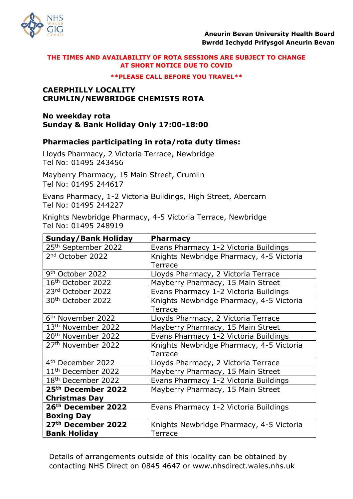

#### **\*\*PLEASE CALL BEFORE YOU TRAVEL\*\***

## **CAERPHILLY LOCALITY CRUMLIN/NEWBRIDGE CHEMISTS ROTA**

### **No weekday rota Sunday & Bank Holiday Only 17:00-18:00**

# **Pharmacies participating in rota/rota duty times:**

Lloyds Pharmacy, 2 Victoria Terrace, Newbridge Tel No: 01495 243456

Mayberry Pharmacy, 15 Main Street, Crumlin Tel No: 01495 244617

Evans Pharmacy, 1-2 Victoria Buildings, High Street, Abercarn Tel No: 01495 244227

Knights Newbridge Pharmacy, 4-5 Victoria Terrace, Newbridge Tel No: 01495 248919

| <b>Sunday/Bank Holiday</b>      | <b>Pharmacy</b>                          |
|---------------------------------|------------------------------------------|
| 25 <sup>th</sup> September 2022 | Evans Pharmacy 1-2 Victoria Buildings    |
| 2 <sup>nd</sup> October 2022    | Knights Newbridge Pharmacy, 4-5 Victoria |
|                                 | <b>Terrace</b>                           |
| 9 <sup>th</sup> October 2022    | Lloyds Pharmacy, 2 Victoria Terrace      |
| 16 <sup>th</sup> October 2022   | Mayberry Pharmacy, 15 Main Street        |
| 23rd October 2022               | Evans Pharmacy 1-2 Victoria Buildings    |
| 30 <sup>th</sup> October 2022   | Knights Newbridge Pharmacy, 4-5 Victoria |
|                                 | Terrace                                  |
| 6 <sup>th</sup> November 2022   | Lloyds Pharmacy, 2 Victoria Terrace      |
| 13 <sup>th</sup> November 2022  | Mayberry Pharmacy, 15 Main Street        |
| 20 <sup>th</sup> November 2022  | Evans Pharmacy 1-2 Victoria Buildings    |
| 27 <sup>th</sup> November 2022  | Knights Newbridge Pharmacy, 4-5 Victoria |
|                                 | Terrace                                  |
| 4 <sup>th</sup> December 2022   | Lloyds Pharmacy, 2 Victoria Terrace      |
| 11 <sup>th</sup> December 2022  | Mayberry Pharmacy, 15 Main Street        |
| 18 <sup>th</sup> December 2022  | Evans Pharmacy 1-2 Victoria Buildings    |
| 25 <sup>th</sup> December 2022  | Mayberry Pharmacy, 15 Main Street        |
| <b>Christmas Day</b>            |                                          |
| 26th December 2022              | Evans Pharmacy 1-2 Victoria Buildings    |
| <b>Boxing Day</b>               |                                          |
| 27th December 2022              | Knights Newbridge Pharmacy, 4-5 Victoria |
| <b>Bank Holiday</b>             | Terrace                                  |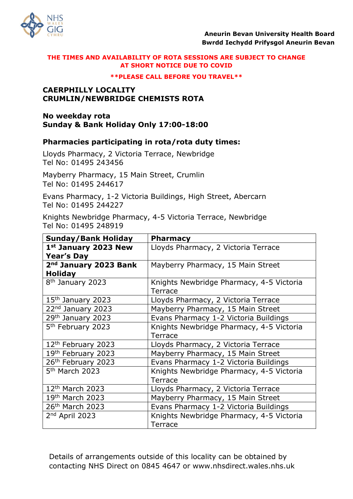

#### **\*\*PLEASE CALL BEFORE YOU TRAVEL\*\***

## **CAERPHILLY LOCALITY CRUMLIN/NEWBRIDGE CHEMISTS ROTA**

### **No weekday rota Sunday & Bank Holiday Only 17:00-18:00**

# **Pharmacies participating in rota/rota duty times:**

Lloyds Pharmacy, 2 Victoria Terrace, Newbridge Tel No: 01495 243456

Mayberry Pharmacy, 15 Main Street, Crumlin Tel No: 01495 244617

Evans Pharmacy, 1-2 Victoria Buildings, High Street, Abercarn Tel No: 01495 244227

Knights Newbridge Pharmacy, 4-5 Victoria Terrace, Newbridge Tel No: 01495 248919

| <b>Sunday/Bank Holiday</b>    | <b>Pharmacy</b>                          |
|-------------------------------|------------------------------------------|
| 1st January 2023 New          | Lloyds Pharmacy, 2 Victoria Terrace      |
| <b>Year's Day</b>             |                                          |
| 2nd January 2023 Bank         | Mayberry Pharmacy, 15 Main Street        |
| <b>Holiday</b>                |                                          |
| 8 <sup>th</sup> January 2023  | Knights Newbridge Pharmacy, 4-5 Victoria |
|                               | Terrace                                  |
| $15th$ January 2023           | Lloyds Pharmacy, 2 Victoria Terrace      |
| 22 <sup>nd</sup> January 2023 | Mayberry Pharmacy, 15 Main Street        |
| 29th January 2023             | Evans Pharmacy 1-2 Victoria Buildings    |
| 5 <sup>th</sup> February 2023 | Knights Newbridge Pharmacy, 4-5 Victoria |
|                               | Terrace                                  |
| 12th February 2023            | Lloyds Pharmacy, 2 Victoria Terrace      |
| 19th February 2023            | Mayberry Pharmacy, 15 Main Street        |
| 26th February 2023            | Evans Pharmacy 1-2 Victoria Buildings    |
| 5 <sup>th</sup> March 2023    | Knights Newbridge Pharmacy, 4-5 Victoria |
|                               | Terrace                                  |
| 12 <sup>th</sup> March 2023   | Lloyds Pharmacy, 2 Victoria Terrace      |
| 19th March 2023               | Mayberry Pharmacy, 15 Main Street        |
| 26 <sup>th</sup> March 2023   | Evans Pharmacy 1-2 Victoria Buildings    |
| $2nd$ April 2023              | Knights Newbridge Pharmacy, 4-5 Victoria |
|                               | <b>Terrace</b>                           |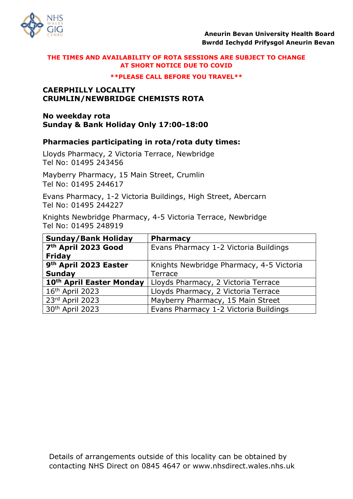

#### **\*\*PLEASE CALL BEFORE YOU TRAVEL\*\***

## **CAERPHILLY LOCALITY CRUMLIN/NEWBRIDGE CHEMISTS ROTA**

### **No weekday rota Sunday & Bank Holiday Only 17:00-18:00**

# **Pharmacies participating in rota/rota duty times:**

Lloyds Pharmacy, 2 Victoria Terrace, Newbridge Tel No: 01495 243456

Mayberry Pharmacy, 15 Main Street, Crumlin Tel No: 01495 244617

Evans Pharmacy, 1-2 Victoria Buildings, High Street, Abercarn Tel No: 01495 244227

Knights Newbridge Pharmacy, 4-5 Victoria Terrace, Newbridge Tel No: 01495 248919

| <b>Sunday/Bank Holiday</b>      | <b>Pharmacy</b>                          |
|---------------------------------|------------------------------------------|
| 7 <sup>th</sup> April 2023 Good | Evans Pharmacy 1-2 Victoria Buildings    |
| Friday                          |                                          |
| 9th April 2023 Easter           | Knights Newbridge Pharmacy, 4-5 Victoria |
| <b>Sunday</b>                   | Terrace                                  |
| 10th April Easter Monday        | Lloyds Pharmacy, 2 Victoria Terrace      |
| 16th April 2023                 | Lloyds Pharmacy, 2 Victoria Terrace      |
| 23rd April 2023                 | Mayberry Pharmacy, 15 Main Street        |
| 30th April 2023                 | Evans Pharmacy 1-2 Victoria Buildings    |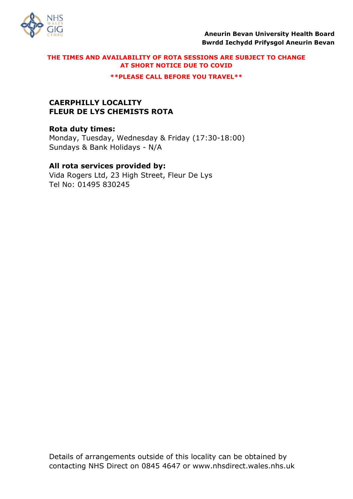

**\*\*PLEASE CALL BEFORE YOU TRAVEL\*\***

# **CAERPHILLY LOCALITY FLEUR DE LYS CHEMISTS ROTA**

# **Rota duty times:**

Monday, Tuesday, Wednesday & Friday (17:30-18:00) Sundays & Bank Holidays - N/A

# **All rota services provided by:**

Vida Rogers Ltd, 23 High Street, Fleur De Lys Tel No: 01495 830245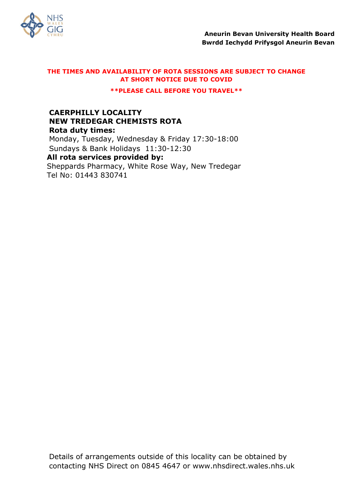

**\*\*PLEASE CALL BEFORE YOU TRAVEL\*\***

# **CAERPHILLY LOCALITY NEW TREDEGAR CHEMISTS ROTA Rota duty times:** Monday, Tuesday, Wednesday & Friday 17:30-18:00 Sundays & Bank Holidays 11:30-12:30

**All rota services provided by:** Sheppards Pharmacy, White Rose Way, New Tredegar Tel No: 01443 830741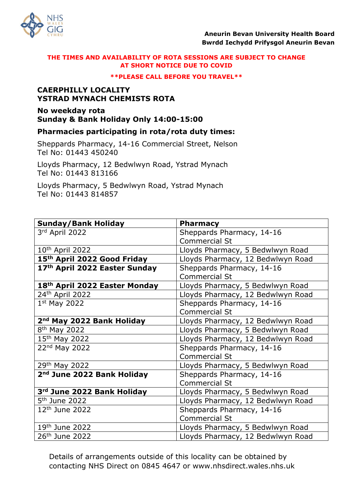

#### **\*\*PLEASE CALL BEFORE YOU TRAVEL\*\***

# **CAERPHILLY LOCALITY YSTRAD MYNACH CHEMISTS ROTA**

# **No weekday rota Sunday & Bank Holiday Only 14:00-15:00**

# **Pharmacies participating in rota/rota duty times:**

Sheppards Pharmacy, 14-16 Commercial Street, Nelson Tel No: 01443 450240

Lloyds Pharmacy, 12 Bedwlwyn Road, Ystrad Mynach Tel No: 01443 813166

Lloyds Pharmacy, 5 Bedwlwyn Road, Ystrad Mynach Tel No: 01443 814857

| <b>Sunday/Bank Holiday</b>             | <b>Pharmacy</b>                   |
|----------------------------------------|-----------------------------------|
| 3rd April 2022                         | Sheppards Pharmacy, 14-16         |
|                                        | <b>Commercial St</b>              |
| 10 <sup>th</sup> April 2022            | Lloyds Pharmacy, 5 Bedwlwyn Road  |
| 15th April 2022 Good Friday            | Lloyds Pharmacy, 12 Bedwlwyn Road |
| 17th April 2022 Easter Sunday          | Sheppards Pharmacy, 14-16         |
|                                        | <b>Commercial St</b>              |
| 18th April 2022 Easter Monday          | Lloyds Pharmacy, 5 Bedwlwyn Road  |
| 24th April 2022                        | Lloyds Pharmacy, 12 Bedwlwyn Road |
| $1st$ May 2022                         | Sheppards Pharmacy, 14-16         |
|                                        | <b>Commercial St</b>              |
| 2 <sup>nd</sup> May 2022 Bank Holiday  | Lloyds Pharmacy, 12 Bedwlwyn Road |
| 8 <sup>th</sup> May 2022               | Lloyds Pharmacy, 5 Bedwlwyn Road  |
| 15th May 2022                          | Lloyds Pharmacy, 12 Bedwlwyn Road |
| 22nd May 2022                          | Sheppards Pharmacy, 14-16         |
|                                        | <b>Commercial St</b>              |
| 29th May 2022                          | Lloyds Pharmacy, 5 Bedwlwyn Road  |
| 2 <sup>nd</sup> June 2022 Bank Holiday | Sheppards Pharmacy, 14-16         |
|                                        | <b>Commercial St</b>              |
| 3rd June 2022 Bank Holiday             | Lloyds Pharmacy, 5 Bedwlwyn Road  |
| 5 <sup>th</sup> June 2022              | Lloyds Pharmacy, 12 Bedwlwyn Road |
| $12th$ June 2022                       | Sheppards Pharmacy, 14-16         |
|                                        | <b>Commercial St</b>              |
| 19th June 2022                         | Lloyds Pharmacy, 5 Bedwlwyn Road  |
| 26 <sup>th</sup> June 2022             | Lloyds Pharmacy, 12 Bedwlwyn Road |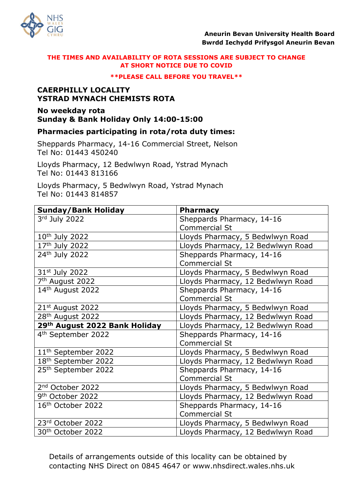

#### **\*\*PLEASE CALL BEFORE YOU TRAVEL\*\***

# **CAERPHILLY LOCALITY YSTRAD MYNACH CHEMISTS ROTA**

# **No weekday rota Sunday & Bank Holiday Only 14:00-15:00**

# **Pharmacies participating in rota/rota duty times:**

Sheppards Pharmacy, 14-16 Commercial Street, Nelson Tel No: 01443 450240

Lloyds Pharmacy, 12 Bedwlwyn Road, Ystrad Mynach Tel No: 01443 813166

Lloyds Pharmacy, 5 Bedwlwyn Road, Ystrad Mynach Tel No: 01443 814857

| <b>Sunday/Bank Holiday</b>                | <b>Pharmacy</b>                   |
|-------------------------------------------|-----------------------------------|
| 3rd July 2022                             | Sheppards Pharmacy, 14-16         |
|                                           | <b>Commercial St</b>              |
| 10 <sup>th</sup> July 2022                | Lloyds Pharmacy, 5 Bedwlwyn Road  |
| 17th July 2022                            | Lloyds Pharmacy, 12 Bedwlwyn Road |
| 24 <sup>th</sup> July 2022                | Sheppards Pharmacy, 14-16         |
|                                           | <b>Commercial St</b>              |
| 31 <sup>st</sup> July 2022                | Lloyds Pharmacy, 5 Bedwlwyn Road  |
| 7 <sup>th</sup> August 2022               | Lloyds Pharmacy, 12 Bedwlwyn Road |
| 14th August 2022                          | Sheppards Pharmacy, 14-16         |
|                                           | <b>Commercial St</b>              |
| $21st$ August 2022                        | Lloyds Pharmacy, 5 Bedwlwyn Road  |
| 28 <sup>th</sup> August 2022              | Lloyds Pharmacy, 12 Bedwlwyn Road |
| 29 <sup>th</sup> August 2022 Bank Holiday | Lloyds Pharmacy, 12 Bedwlwyn Road |
| 4 <sup>th</sup> September 2022            | Sheppards Pharmacy, 14-16         |
|                                           | <b>Commercial St</b>              |
| 11 <sup>th</sup> September 2022           | Lloyds Pharmacy, 5 Bedwlwyn Road  |
| 18 <sup>th</sup> September 2022           | Lloyds Pharmacy, 12 Bedwlwyn Road |
| 25 <sup>th</sup> September 2022           | Sheppards Pharmacy, 14-16         |
|                                           | <b>Commercial St</b>              |
| 2 <sup>nd</sup> October 2022              | Lloyds Pharmacy, 5 Bedwlwyn Road  |
| 9 <sup>th</sup> October 2022              | Lloyds Pharmacy, 12 Bedwlwyn Road |
| 16 <sup>th</sup> October 2022             | Sheppards Pharmacy, 14-16         |
|                                           | <b>Commercial St</b>              |
| 23rd October 2022                         | Lloyds Pharmacy, 5 Bedwlwyn Road  |
| 30 <sup>th</sup> October 2022             | Lloyds Pharmacy, 12 Bedwlwyn Road |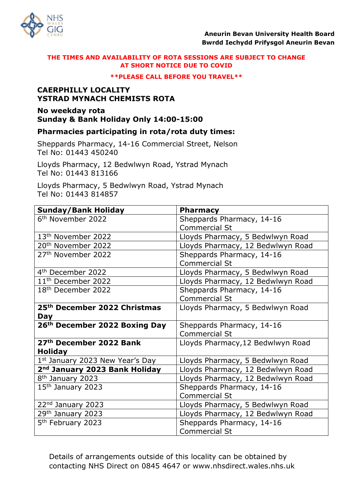

#### **\*\*PLEASE CALL BEFORE YOU TRAVEL\*\***

# **CAERPHILLY LOCALITY YSTRAD MYNACH CHEMISTS ROTA**

# **No weekday rota Sunday & Bank Holiday Only 14:00-15:00**

# **Pharmacies participating in rota/rota duty times:**

Sheppards Pharmacy, 14-16 Commercial Street, Nelson Tel No: 01443 450240

Lloyds Pharmacy, 12 Bedwlwyn Road, Ystrad Mynach Tel No: 01443 813166

Lloyds Pharmacy, 5 Bedwlwyn Road, Ystrad Mynach Tel No: 01443 814857

| <b>Sunday/Bank Holiday</b>                | <b>Pharmacy</b>                   |
|-------------------------------------------|-----------------------------------|
| 6 <sup>th</sup> November 2022             | Sheppards Pharmacy, 14-16         |
|                                           | <b>Commercial St</b>              |
| 13 <sup>th</sup> November 2022            | Lloyds Pharmacy, 5 Bedwlwyn Road  |
| 20 <sup>th</sup> November 2022            | Lloyds Pharmacy, 12 Bedwlwyn Road |
| 27 <sup>th</sup> November 2022            | Sheppards Pharmacy, 14-16         |
|                                           | <b>Commercial St</b>              |
| 4 <sup>th</sup> December 2022             | Lloyds Pharmacy, 5 Bedwlwyn Road  |
| 11 <sup>th</sup> December 2022            | Lloyds Pharmacy, 12 Bedwlwyn Road |
| 18th December 2022                        | Sheppards Pharmacy, 14-16         |
|                                           | <b>Commercial St</b>              |
| 25 <sup>th</sup> December 2022 Christmas  | Lloyds Pharmacy, 5 Bedwlwyn Road  |
| <b>Day</b>                                |                                   |
| 26th December 2022 Boxing Day             | Sheppards Pharmacy, 14-16         |
|                                           | <b>Commercial St</b>              |
| 27th December 2022 Bank                   | Lloyds Pharmacy, 12 Bedwlwyn Road |
| <b>Holiday</b>                            |                                   |
| 1st January 2023 New Year's Day           | Lloyds Pharmacy, 5 Bedwlwyn Road  |
| 2 <sup>nd</sup> January 2023 Bank Holiday | Lloyds Pharmacy, 12 Bedwlwyn Road |
| 8 <sup>th</sup> January 2023              | Lloyds Pharmacy, 12 Bedwlwyn Road |
| $15th$ January 2023                       | Sheppards Pharmacy, 14-16         |
|                                           | <b>Commercial St</b>              |
| 22nd January 2023                         | Lloyds Pharmacy, 5 Bedwlwyn Road  |
| 29th January 2023                         | Lloyds Pharmacy, 12 Bedwlwyn Road |
| 5 <sup>th</sup> February 2023             | Sheppards Pharmacy, 14-16         |
|                                           | <b>Commercial St</b>              |